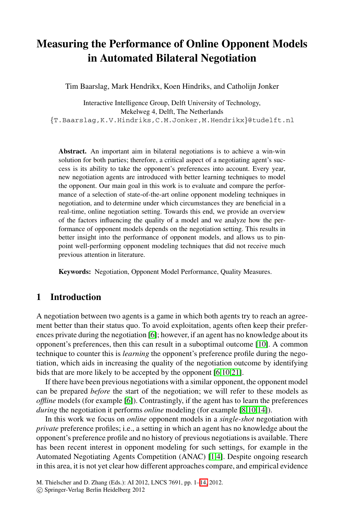# **Measuring the Performance of Online Opponent Models in Automated Bilateral Negotiation**

Tim Baarslag, Mark Hendrikx, Koen Hindriks, and Catholijn Jonker

Interactive Intelligence Group, Delft University of Technology, Mekelweg 4, Delft, The Netherlands *{*T.Baarslag,K.V.Hindriks,C.M.Jonker,M.Hendrikx*}*@tudelft.nl

**Abstract.** An important aim in bilateral negotiations is to achieve a win-win solution for both parties; therefore, a critical aspect of a negotiating agent's success is its ability to take the opponent's preferences into account. Every year, new negotiation agents are introduced with better learning techniques to model the opponent. Our main goal in this work is to evaluate and compare the performance of a selection of state-of-the-art online opponent modeling techniques in negotiation, and to determine under which circumstances they are beneficial in a real-time, online negotiation setting. Towards this end, we provide an overview of the factors influencing the quality of a model and we analyze how the performance of opponent models depends on the negotiation setting. This results in better insight into the performance of opponent models, and allows us to pinpoint well-performing opponent modeling techniques that did not receive much previous attention in literature.

**Keywords:** Negotiation, Opponent Model Perf[orma](#page-13-0)nce, Quality Measures.

# **1 Introduction**

A negotiation between two agents is a game in which both agents try to reach an agreement bet[ter](#page-13-1) than their status quo. To avoid exploitation, agents often keep their preferences private during the negotiation [6]; howe[ve](#page-13-2)[r, if](#page-13-0) [an](#page-13-3) agent has no knowledge about its opponent's preferences, then this can result in a suboptimal outcome [10]. A common technique to counter this is *learning* the opponent's preference profile during the negotiation, which aids in increasing the quality of the negotiation outcome by identifying bids that are more likely to be accepted by the opponent [6,10,21].

If there have been previous negot[ia](#page-12-0)[tio](#page-13-4)ns with a similar opponent, the opponent model can be prepared *before* the start of the negotiation; we will refer to these models as *offline* models (for example [6]). Contrastingly, if the agent has to learn the preferences *during* the negotiation it perfor[ms](#page-13-5) *online* modeling (for example [8,10,14]).

In this work we focus on *online* opponent models in a *single-shot* negotiation with *private* preference profiles; i.e., a setting in which an agent has no knowledge about the opponent's preference profile and no history of previous negotiations is available. There has been recent interest in opponent modeling for such settings, for example in the Automated Negotiating Agents Competition (ANAC) [1,4]. Despite ongoing research in this area, it is not yet clear how different approaches compare, and empirical evidence

M. Thielscher and D. Zhang (Eds.): AI 2012, LNCS 7691, pp. 1–14, 2012.

-c Springer-Verlag Berlin Heidelberg 2012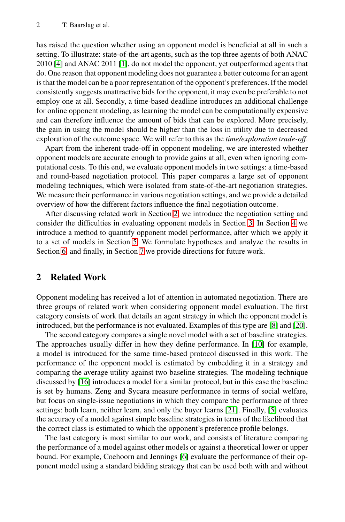has raised the question whether using an opponent model is beneficial at all in such a setting. To illustrate: state-of-the-art agents, such as the top three agents of both ANAC 2010 [4] and ANAC 2011 [1], do not model the opponent, yet outperformed agents that do. One reason that opponent modeling does not guarantee a better outcome for an agent is that the model can be a poor representation of the opponent's preferences. If the model consistently suggests unattractive bids for the opponent, it may even be preferable to not employ one at all. Secondly, a time-based deadline introduces an additional challenge for online opponent modeling, as learning the model can be computationally expensive and can therefore influence the amount of bids that can be explored. More precisely, the gain in using the model should be higher than the loss in utility due to decreased exploration of the outco[me](#page-1-0) space. We will refer to this as the *time/exploration trade-off*.

<span id="page-1-0"></span>Apart from the inherent trade-off in oppone[nt](#page-2-0) modeling, [we](#page-4-0) are interested whether opponent models are accurate enough to provide gains at all, even when ignoring computational [co](#page-5-0)sts. To this end, we evaluate opponent models in two settings: a time-based and round-b[ase](#page-12-1)d negotiation protocol. This paper compares a large set of opponent modeling techniques, which were isolated from state-of-the-art negotiation strategies. We measure their performance in various negotiation settings, and we provide a detailed overview of how the different factors influence the final negotiation outcome.

After discussing related work in Section 2, we introduce the negotiation setting and consider the difficulties in evaluating opponent models in Section 3. In Section 4 we introduce a method to quantify opponent model performance, after which we apply it to a set of models in Section 5. We formulate hypotheses and analyze the results in Section 6; and finally, in Section 7 we provide directio[ns](#page-13-2) for fu[ture](#page-13-6) work.

# **2 Related Work**

Opponent modeling has received a lot of attention in automated negotiation. There are three groups of related work when considering opponent model evaluation. The first category consists of work that details an agent strategy in which the opponent model is introduced, but the performance is not evaluated. Examples of this type are [8] and [20].

The second category compares a singl[e no](#page-13-7)vel model [w](#page-13-8)ith a set of baseline strategies. The approaches usually differ in how they define performance. In [10] for example, a model is introduced for the same time-based protocol discussed in this work. The performance of the opponent model is estimated by embedding it in a strategy and comparing the average utility against two baseline strategies. The modeling technique discussed by [16] introduc[es](#page-13-1) a model for a similar protocol, but in this case the baseline is set by humans. Zeng and Sycara measure performance in terms of social welfare, but focus on single-issue negotiations in which they compare the performance of three settings: both learn, neither learn, and only the buyer learns [21]. Finally, [5] evaluates the accuracy of a model against simple baseline strategies in terms of the likelihood that the correct class is estimated to which the opponent's preference profile belongs.

The last category is most similar to our work, and consists of literature comparing the performance of a model against other models or against a theoretical lower or upper bound. For example, Coehoorn and Jennings [6] evaluate the performance of their opponent model using a standard bidding strategy that can be used both with and without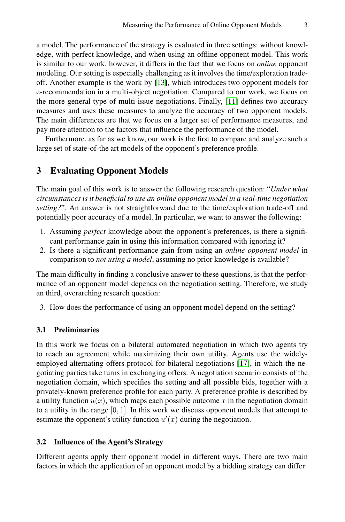<span id="page-2-0"></span>a model. The performance of the strategy is evaluated in three settings: without knowledge, with perfect knowledge, and when using an offline opponent model. This work is similar to our work, however, it differs in the fact that we focus on *online* opponent modeling. Our setting is especially challenging as it involves the time/exploration tradeoff. Another example is the work by [13], which introduces two opponent models for e-recommendation in a multi-object negotiation. Compared to our work, we focus on the more general type of multi-issue negotiations. Finally, [11] defines two accuracy measures and uses these measures to analyze the accuracy of two opponent models. The main differences are that we focus on a larger set of performance measures, and pay more attention to the factors that influence the performance of the model.

Furthermore, as far as we know, our work is the first to compare and analyze such a large set of state-of-the art models of the opponent's preference profile.

# **3 Evaluating Opponent Models**

The main goal of this work is to answer the following research question: "*Under what circumstances is it beneficial to use an online opponent model in a real-time negotiation setting?*". An answer is not straightforward due to the time/exploration trade-off and potentially poor accuracy of a model. In particular, we want to answer the following:

- 1. Assuming *perfect* knowledge about the opponent's preferences, is there a significant performance gain in using this information compared with ignoring it?
- 2. Is there a significant performance gain from using an *online opponent model* in comparison to *not using a model*, assuming no prior knowledge is available?

The main difficulty in finding a conclusive answer to these questions, is that the performance of an opponent model depends on the negotiation setting. Therefore, we study an third, overarching research question:

<span id="page-2-1"></span>3. How does the performance of using an opponent model depend on the setting?

#### **3.1 Preliminaries**

In this work we focus on a bilateral automated negotiation in which two agents try to reach an agreement while maximizing their own utility. Agents use the widelyemployed alternating-offers protocol for bilateral negotiations [17], in which the negotiating parties take turns in exchanging offers. A negotiation scenario consists of the negotiation domain, which specifies the setting and all possible bids, together with a privately-known preference profile for each party. A preference profile is described by a utility function  $u(x)$ , which maps each possible outcome x in the negotiation domain to a utility in the range [0*,* 1]. In this work we discuss opponent models that attempt to estimate the opponent's utility function  $u'(x)$  during the negotiation.

#### **3.2 Influence of the Agent's Strategy**

Different agents apply their opponent model in different ways. There are two main factors in which the application of an opponent model by a bidding strategy can differ: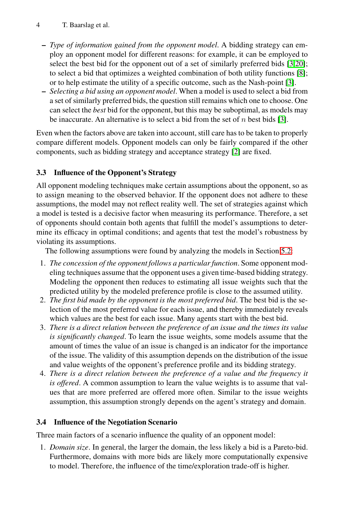- <span id="page-3-0"></span>**–** *Type of information gained from the opponent model*[. A](#page-13-10) bidding strategy can employ an opponent model for different reasons: for example, it can be employed to select the best bid for the opponent out of a set of similarly preferred bids [3,20]; to select a bid that optimizes a weighted combination of both utility functions [8]; or to help estimate the utility of a speci[fic](#page-12-2) outcome, such as the Nash-point [3].
- **–** *Selecting a bid using an opponent model*. When a model is used to select a bid from a set of similarly preferred bids, the question still remains which one to choose. One can select the *best* bid for the opponent, but this may be suboptimal, as models may be inaccurate. An alternative is to select a bid from the set of *n* best bids [3].

Even when the factors above are taken into account, still care has to be taken to properly compare different models. Opponent models can only be fairly compared if the other components, such as bidding strategy and acceptance strategy [2] are fixed.

# **3.3 Influence of the Opponent's Strategy**

All opponent modeling techniques make certain assumpti[ons](#page-6-0) [a](#page-6-0)bout the opponent, so as to assign meaning to the observed behavior. If the opponent does not adhere to these assumptions, the model may not reflect reality well. The set of strategies against which a model is tested is a decisive factor when measuring its performance. Therefore, a set of opponents should contain both agents that fulfill the model's assumptions to determine its efficacy in optimal conditions; and agents that test the model's robustness by violating its assumptions.

The following assumptions were found by analyzing the models in Section 5.2:

- <span id="page-3-1"></span>1. *The concession of the opponent follows a particular function*. Some opponent modeling techniques assume that the opponent uses a given time-based bidding strategy. Modeling the opponent then reduces to estimating all issue weights such that the predicted utility by the modeled preference profile is close to the assumed utility.
- 2. *The first bid made by the opponent is the most preferred bid*. The best bid is the selection of the most preferred value for each issue, and thereby immediately reveals which values are the best for each issue. Many agents start with the best bid.
- 3. *There is a direct relation between the preference of an issue and the times its value is significantly changed*. To learn the issue weights, some models assume that the amount of times the value of an issue is changed is an indicator for the importance of the issue. The validity of this assumption depends on the distribution of the issue and value weights of the opponent's preference profile and its bidding strategy.
- 4. *There is a direct relation between the preference of a value and the frequency it is offered*. A common assumption to learn the value weights is to assume that values that are more preferred are offered more often. Similar to the issue weights assumption, this assumption strongly depends on the agent's strategy and domain.

#### **3.4 Influence of the Negotiation Scenario**

Three main factors of a scenario influence the quality of an opponent model:

1. *Domain size*. In general, the larger the domain, the less likely a bid is a Pareto-bid. Furthermore, domains with more bids are likely more computationally expensive to model. Therefore, the influence of the time/exploration trade-off is higher.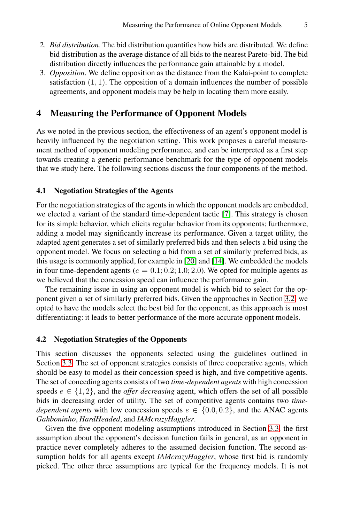- <span id="page-4-0"></span>2. *Bid distribution*. The bid distribution quantifies how bids are distributed. We define bid distribution as the average distance of all bids to the nearest Pareto-bid. The bid distribution directly influences the performance gain attainable by a model.
- 3. *Opposition*. We define opposition as the distance from the Kalai-point to complete satisfaction  $(1, 1)$ . The opposition of a domain influences the number of possible agreements, and opponent models may be help in locating them more easily.

# **4 Measuring the Performance of Opponent Models**

As we noted in the previous section, the effectiveness of an agent's opponent model is heavily influenced by the negotiation s[ett](#page-13-11)ing. This work proposes a careful measurement method of opponent modeling performance, and can be interpreted as a first step towards creating a generic performance benchmark for the type of opponent models that we study here. The following sections discuss the four components of the method.

#### **4.1 Negotiation Strategie[s of](#page-13-6) the [Age](#page-13-3)nts**

For the negotiation strategies of the agents in which the opponent models are embedded, we elected a variant of the standard time-dependent tactic [7]. This strategy is chosen for its simple behavior, which elicits regular behavior from [its o](#page-2-1)pponents; furthermore, adding a model may significantly increase its performance. Given a target utility, the adapted agent generates a set of similarly preferred bids and then selects a bid using the opponent model. We focus on selecting a bid from a set of similarly preferred bids, as this usage is commonly applied, for example in [20] and [14]. We embedded the models in four time-dependent agents ( $e = 0.1$ ;  $0.2$ ;  $1.0$ ;  $2.0$ ). We opted for multiple agents as we believed that the concession speed can influence the performance gain.

The remaining issue in using an opponent model is which bid to select for the opponent given a set of similarly preferred bids. Given the approaches in Section 3.2, we opted to have the models select the best bid for the opponent, as this approach is most differentiating: it leads to better performance of the more accurate opponent models.

#### **4.2 Negotiation Strategies of the Opponents**

This section discusses the opponents selected usi[ng](#page-3-0) the guidelines outlined in Section 3.3. The set of opponent strategies consists of three cooperative agents, which should be easy to model as their concession speed is high, and five competitive agents. The set of conceding agents consists of two *time-dependent agents* with high concession speeds  $e \in \{1, 2\}$ , and the *offer decreasing* agent, which offers the set of all possible bids in decreasing order of utility. The set of competitive agents contains two *timedependent agents* with low concession speeds  $e \in \{0.0, 0.2\}$ , and the ANAC agents *Gahboninho*, *HardHeaded*, and *IAMcrazyHaggler*.

Given the five opponent modeling assumptions introduced in Section 3.3, the first assumption about the opponent's decision function fails in general, as an opponent in practice never completely adheres to the assumed decision function. The second assumption holds for all agents except *IAMcrazyHaggler*, whose first bid is randomly picked. The other three assumptions are typical for the frequency models. It is not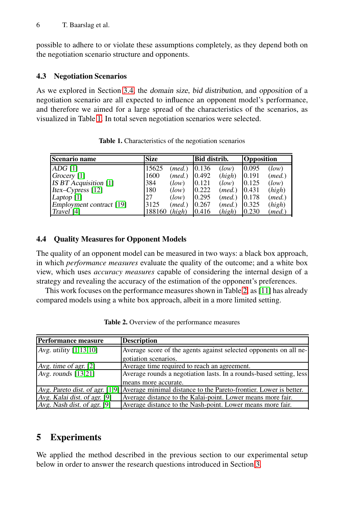<span id="page-5-1"></span>[po](#page-5-1)ssible to adhere to or violate these assumptions completely, as they depend both on the negotiation scenario structure and opponents.

#### **4.3 Negotiation Scenarios**

<span id="page-5-3"></span>As we explored in Section 3.4, the domain size, bid distribution, and opposition of a negotiation scenario are all expected to influence an opponent model's performance, an[d t](#page-12-0)herefore we aimed for a large spread of the characteristics of the scenarios, as [v](#page-13-12)isualized in Table 1. In total seven negotiation scenarios were selected.

| Scenario name                     | <b>Size</b> |        | Bid distrib. |        | <b>Opposition</b> |        |
|-----------------------------------|-------------|--------|--------------|--------|-------------------|--------|
| $ADG$ [1]                         | 15625       | (med.) | 0.136        | (low)  | 0.095             | (low)  |
| Grocery [1]                       | 1600        | (med.) | 0.492        | (high) | 0.191             | (med.) |
| <b>IS BT</b> Acquisition [1]      | 384         | (low)  | 0.121        | (low)  | 0.125             | (low)  |
| $\text{Itex}-\text{Cypress}$ [12] | 180         | (low)  | 0.222        | (med.) | 0.431             | (high) |
| Laptop $[1]$                      | 27          | (low)  | 0.295        | (med.) | 0.178             | (med.) |
| Employment contract [19]          | 3125        | (med.) | 0.267        | (med.) | 0.325             | (high) |
| Travel [4]                        | 188160      | (high) | 0.416        | (high) | 0.230             | (med.) |

<span id="page-5-2"></span>**Table 1.** Characteristics of the negotiation scenarios

#### **4.4 Quality Measures for Opponent Models**

The quality of an opponent model can be measured in two ways: a black box approach, in which *performance measures* evaluate the quality of the outcome; and a white box view, which uses *accuracy measures* capable of considering the internal design of a strategy and revealing the accuracy of the estimation of the opponent's preferences.

<span id="page-5-0"></span>This work focuses on the performance measures shown in Table 2, as [11] has already compared models using a white box approach, albeit in a more limited setting.

| <b>Performance measure</b>   | <b>Description</b>                                                                                |
|------------------------------|---------------------------------------------------------------------------------------------------|
| Avg. utility $[1,13,10]$     | Average score of the agents against selected opponents on all ne-                                 |
|                              | gotiation scenarios.                                                                              |
| Avg. time of agr. $[2]$      | Average time required to reach an agreement.                                                      |
| Avg. rounds [13,21]          | Average rounds a negotiation lasts. In a rounds-based setting, less                               |
|                              | means more accurate.                                                                              |
|                              | Avg. Pareto dist. of agr. [1,9] Average minimal distance to the Pareto-frontier. Lower is better. |
| Avg. Kalai dist. of agr. [9] | Average distance to the Kalai-point. Lower means more fair.                                       |
| Avg. Nash dist. of agr. [9]  | Average distance to the Nash-point. Lower means more fair.                                        |

**Table 2.** Overview of the performance measures

# **5 Experiments**

We applied the method described in the previous section to our experimental setup below in order to answer the research questions introduced in Section 3.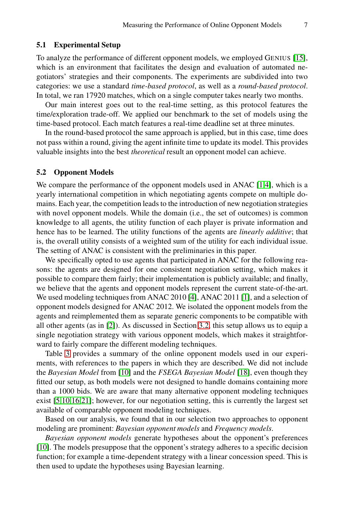#### <span id="page-6-0"></span>**5.1 Experimental Setup**

To analyze the performance of different opponent models, we employed GENIUS [15], which is an environment that facilitates the design and evaluation of automated negotiators' strategies and their components. The experiments are subdivided into two categories: we use a standard *time-based protocol*, as well as a *round-based protocol*. In total, we ran 17920 matches, which on a single computer takes nearly two months.

Our main interest goes out to the real-time setting, as this protocol features the time/exploration trade-off. We applied our bench[ma](#page-12-0)[rk](#page-13-4) to the set of models using the time-based protocol. Each match features a real-time deadline set at three minutes.

In the round-based protocol the same approach is applied, but in this case, time does not pass within a round, giving the agent infinite time to update its model. This provides valuable insights into the best *theoretical* result an opponent model can achieve.

#### **5.2 Opponent Models**

We compare the performance of the opponent models used in ANAC [1,4], which is a yearly international competition in which negotiating agents compete on multiple domains. Each year, the competition leads to the introduction of new negotiation strategies with novel opponent models. While the domain (i.e., the set of outcomes) is common knowledge to all agents, the [ut](#page-13-4)ility function o[f](#page-12-0) each player is private information and hence has to be learned. The utility functions of the agents are *linearly additive*; that is, the overall utility consists of a weighted sum of the utility for each individual issue. Th[e s](#page-12-2)etting of ANAC is consist[ent w](#page-2-1)ith the preliminaries in this paper.

We specifically opted to use agents that participated in ANAC for the following reasons: the agents are designed for one consistent negotiation setting, which makes it possible to compare them fairly; their implementation is publicly available; and finally, we believe that the agents and opponent models represent the current state-of-the-art. We use[d m](#page-13-0)odeling techniques from ANAC 2[010](#page-13-13) [4], ANAC 2011 [1], and a selection of opponent models designed for ANAC 2012. We isolated the opponent models from the agents and reimplemented them as separate generic components to be compatible with all other agents (as in [2]). As discussed in Section 3.2, this setup allows us to equip a single negotiation strategy with various opponent models, which makes it straightforward to fairly compare the different modeling techniques.

Table 3 provides a summary of the online opponent models used in our experiments, with references to the papers in which they are described. We did not include the *Bayesian Model* from [10] and the *FSEGA Bayesian Model* [18], even though they fitted our setup, as both models were not designed to handle domains containing more than a 1000 bids. We are aware that many alternative opponent modeling techniques exist [5,10,16,21]; however, for our negotiation setting, this is currently the largest set available of comparable opponent modeling techniques.

Based on our analysis, we found that in our selection two approaches to opponent modeling are prominent: *Bayesian opponent models* and *Frequency models*.

*Bayesian opponent models* generate hypotheses about the opponent's preferences [10]. The models presuppose that the opponent's strategy adheres to a specific decision function; for example a time-dependent strategy with a linear concession speed. This is then used to update the hypotheses using Bayesian learning.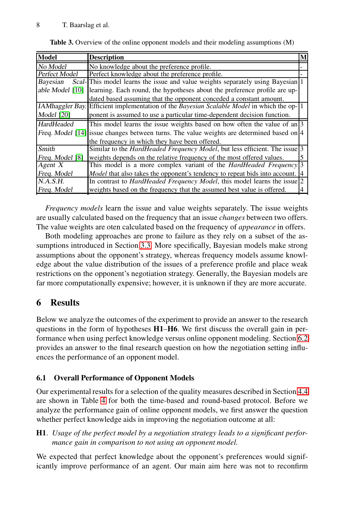**Table 3.** Overview of the online opponent models and their modeling assumptions (M)

| <b>Model</b>    | <b>Description</b>                                                                          | M |
|-----------------|---------------------------------------------------------------------------------------------|---|
| No Model        | No knowledge about the preference profile.                                                  |   |
| Perfect Model   | Perfect knowledge about the preference profile.                                             |   |
| Bayesian        | Scal- This model learns the issue and value weights separately using Bayesian 1             |   |
| able Model [10] | learning. Each round, the hypotheses about the preference profile are up-                   |   |
|                 | dated based assuming that the opponent conceded a constant amount.                          |   |
|                 | IAMhaggler Bay. Efficient implementation of the Bayesian Scalable Model in which the op-11  |   |
| Model [20]      | ponent is assumed to use a particular time-dependent decision function.                     |   |
| HardHeaded      | This model learns the issue weights based on how often the value of an 3                    |   |
|                 | Freq. Model [14] issue changes between turns. The value weights are determined based on [4] |   |
|                 | the frequency in which they have been offered.                                              |   |
| Smith           | Similar to the <i>HardHeaded Frequency Model</i> , but less efficient. The issue 3          |   |
| Freq. Model [8] | weights depends on the relative frequency of the most offered values.                       |   |
| Agent $X$       | This model is a more complex variant of the HardHeaded Frequency 3                          |   |
| Freq. Model     | <i>Model</i> that also takes the opponent's tendency to repeat bids into account. [4]       |   |
| N.A.S.H.        | In contrast to <i>HardHeaded Frequency Model</i> , this model learns the issue 2            |   |
| Freq. Model     | weights based on the frequency that the assumed best value is offered.                      |   |

*Frequency models* learn the issue and value weights separately. The issue weights are usually calculated based on the frequency that an issue *changes* between two offers. The value weights are oten calculated based on the frequency of *appearance* in offers.

Both modeling approaches are prone to failure as they rely on a subset of the assumptions introduced in Section 3.3. More specifically, Bayesian models make strong assumptions about the opponent's strategy, whereas frequency models assume knowledge about the value distribution of the issues of a preference [profi](#page-8-0)le and place weak restrictions on the opponent's negotiation strategy. Generally, the Bayesian models are far more computationally expensive; however, it is unknown if they are more accurate.

# **6 Results**

Below we analyze the outcomes of the experiment to provide a[n ans](#page-5-3)wer to the research [que](#page-9-0)stions in the form of hypotheses **H1**–**H6**. We first discuss the overall gain in performance when using perfect knowledge versus online opponent modeling. Section 6.2 provides an answer to the final research question on how the negotiation setting influences the performance of an opponent model.

#### **6.1 Overall Performance of Opponent Models**

Our experimental results for a selection of the quality measures described in Section 4.4 are shown in Table 4 for both the time-based and round-based protocol. Before we analyze the performance gain of online opponent models, we first answer the question whether perfect knowledge aids in improving the negotiation outcome at all:

### **H1**. *Usage of the perfect model by a negotiation strategy leads to a significant performance gain in comparison to not using an opponent model.*

We expected that perfect knowledge about the opponent's preferences would significantly improve performance of an agent. Our main aim here was not to reconfirm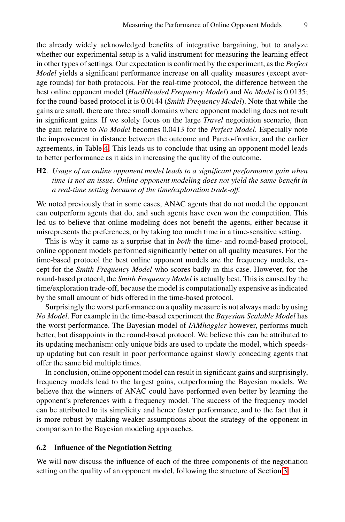the already widely acknowledged benefits of integrative bargaining, but to analyze whether our experimental setup is a valid instrument for measuring the learning effect in other types of settings. Our expectation is confirmed by the experiment, as the *Perfect [Mod](#page-9-0)el* yields a significant performance increase on all quality measures (except average rounds) for both protocols. For the real-time protocol, the difference between the best online opponent model (*HardHeaded Frequency Model*) and *No Model* is 0.0135; for the round-based protocol it is 0.0144 (*Smith Frequency Model*). Note that while the gains are small, there are three small domains where opponent modeling does not result in significant gains. If we solely focus on the large *Travel* negotiation scenario, then the gain relative to *No Model* becomes 0.0413 for the *Perfect Model*. Especially note the improvement in distance between the outcome and Pareto-frontier, and the earlier agreements, in Table 4. This leads us to conclude that using an opponent model leads to better performance as it aids in increasing the quality of the outcome.

**H2**. *Usage of an online opponent model leads to a significant performance gain when time is not an issue. Online opponent modeling does not yield the same benefit in a real-time setting because of the time/exploration trade-off.*

We noted previously that in some cases, ANAC agents that do not model the opponent can outperform agents that do, and such agents have even won the competition. This led us to believe that online modeling does not benefit the agents, either because it misrepresents the preferences, or by taking too much time in a time-sensitive setting.

This is why it came as a surprise that in *both* the time- and round-based protocol, online opponent models performed significantly better on all quality measures. For the time-based protocol the best online opponent models are the frequency models, except for the *Smith Frequency Model* who scores badly in this case. However, for the round-based protocol, the *Smith Frequency Model* is actually best. This is caused by the time/exploration trade-off, because the model is computationally expensive as indicated by the small amount of bids offered in the time-based protocol.

<span id="page-8-0"></span>Surprisingly the worst performance on a quality measure is not always made by using *No Model*. For example in the time-based experiment the *Bayesian Scalable Model* has the worst performance. The Bayesian model of *IAMhaggler* however, performs much better, but disappoints in the round-based protocol. We believe this can be attributed to its updating mechanism: only unique bids are used to update the model, which speedsup updating but can result in poor performance against slowly conceding agents that offer the same bid multiple times.

In conclusion, online opponent model can result in significant gains and surprisingly, frequency models lead to the largest gains, outperforming the Bayesian models. We believe that the winners of ANAC could have performed even better by learning the opponent's preferences with a frequency model. The succ[es](#page-2-0)s of the frequency model can be attributed to its simplicity and hence faster performance, and to the fact that it is more robust by making weaker assumptions about the strategy of the opponent in comparison to the Bayesian modeling approaches.

### **6.2 Influence of the Negotiation Setting**

We will now discuss the influence of each of the three components of the negotiation setting on the quality of an opponent model, following the structure of Section 3.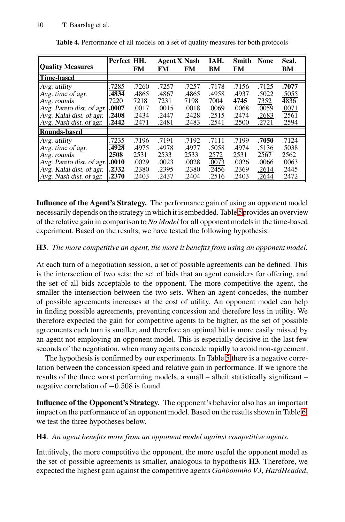|                           | Perfect HH. |       | <b>Agent X Nash</b> |       | IAH.  | <b>Smith</b> | <b>None</b> | Scal. |
|---------------------------|-------------|-------|---------------------|-------|-------|--------------|-------------|-------|
| <b>Quality Measures</b>   |             | FM    | FM                  | FM    | BМ    | FM           |             | BМ    |
| <b>Time-based</b>         |             |       |                     |       |       |              |             |       |
| Avg. utility              | 7285        | .7260 | .7257               | .7257 | .7178 | .7156        | .7125       | .7077 |
| Avg. time of agr.         | .4834       | .4865 | .4867               | .4865 | .4958 | .4937        | .5022       | .5055 |
| Avg. rounds               | 7220        | 7218  | 7231                | 7198  | 7004  | 4745         | 7352        | 4836  |
| Avg. Pareto dist. of agr. | .0007       | .0017 | .0015               | .0018 | .0069 | .0068        | .0059       | .0071 |
| Avg. Kalai dist. of agr.  | .2408       | .2434 | .2447               | .2428 | .2515 | .2474        | .2683       | .2561 |
| Avg. Nash dist. of agr.   | .2442       | .2471 | .2481               | .2483 | .2541 | .2500        | .2721       | .2594 |
| <b>Rounds-based</b>       |             |       |                     |       |       |              |             |       |
| Avg. utility              | .7235       | .7196 | .7191               | .7192 | .7111 | .7199        | .7050       | .7124 |
| Avg. time of agr.         | .4928       | .4975 | .4978               | .4977 | .5058 | .4974        | .5136       | .5038 |
| Avg. rounds               | 2508        | 2531  | 2533                | 2533  | 2572  | 2531         | 2567        | 2562  |
| Avg. Pareto dist. of agr. | .0010       | .0029 | .0023               | .0028 | .0073 | .0026        | .0066       | .0063 |
| Avg. Kalai dist. of agr.  | .2332       | .2380 | .2395               | .2380 | .2456 | .2369        | .2614       | .2445 |
| Avg. Nash dist. of agr.   | .2370       | .2403 | .2437               | .2404 | .2516 | .2403        | .2644       | .2472 |

<span id="page-9-0"></span>**Table 4.** Performance of all models on a set of quality measures for both protocols

**Influence of the Agent's Strategy.** The performance gain of using an opponent model necessarily depends on the strategy in which it is embedded. Table 5provides an overview of the relative gain in comparison to *No Model* for all opponent models in the time-based experiment. Based on the results, we have tested the following hypothesis:

#### **H3**. *The more competitive an agent, the more it benefits from using an opponent model.*

At each turn of a negotiation session, a set of possible agreements can be defined. This is the intersection of two sets: the set of bids that an agent considers for offering, and the set of all bids acceptable to the op[po](#page-10-0)nent. The more competitive the agent, the smaller the intersection between the two sets. When an agent concedes, the number of possible agreements increases at the cost of utility. An opponent model can help in finding possible agreements, preventing concession and therefore loss in utility. We therefore expected the gain for competitive agents to be higher, as the set of possible agreements each turn is smaller, and therefore an optimal bid is more easily missed by an agent not employing an opponent model. This is especially d[ec](#page-11-0)isive in the last few seconds of the negotiation, when many agents concede rapidly to avoid non-agreement.

The hypothesis is confirmed by our experiments. In Table 5 there is a negative correlation between the concession speed and relative gain in performance. If we ignore the results of the three worst performing models, a small – albeit statistically significant – negative correlation of −0*.*508 is found.

**Influence of the Opponent's Strategy.** The opponent's behavior also has an important impact on the performance of an opponent model. Based on the results shown in Table 6, we test the three hypotheses below.

#### **H4**. *An agent benefits more from an opponent model against competitive agents.*

Intuitively, the more competitive the opponent, the more useful the opponent model as the set of possible agreements is smaller, analogous to hypothesis **H3**. Therefore, we expected the highest gain against the competitive agents *Gahboninho V3*, *HardHeaded*,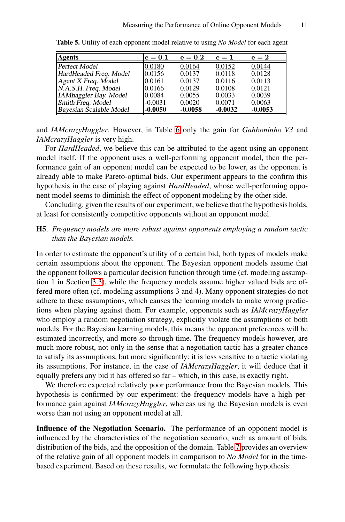| Agents                  | $e=0.1$   | $e=0.2$   | $e=1$     | $e = 2$   |
|-------------------------|-----------|-----------|-----------|-----------|
| Perfect Model           | 0.0180    | 0.0164    | 0.0152    | 0.0144    |
| HardHeaded Freq. Model  | 0.0156    | 0.0137    | 0.0118    | 0.0128    |
| Agent X Freq. Model     | 0.0161    | 0.0137    | 0.0116    | 0.0113    |
| N.A.S.H. Freq. Model    | 0.0166    | 0.0129    | 0.0108    | 0.0121    |
| IAMhaggler Bay. Model   | 0.0084    | 0.0055    | 0.0033    | 0.0039    |
| Smith Freq. Model       | $-0.0031$ | 0.0020    | 0.0071    | 0.0063    |
| Bayesian Scalable Model | $-0.0050$ | $-0.0058$ | $-0.0032$ | $-0.0053$ |

<span id="page-10-0"></span>**Table 5.** Utility of each opponent model relative to using *No Model* for each agent

and *IAMcrazyHaggler*. However, in Table 6 only the gain for *Gahboninho V3* and *IAMcrazyHaggler* is very high.

For *HardHeaded*, we believe this can be attributed to the agent using an opponent model itself. If the opponent uses a well-performing opponent model, then the performance gain of an opponent model can be expected to be lower, as the opponent is already able to make Pareto-optimal bids. Our experiment appears to the confirm this hypothesis in the case of playing against *HardHeaded*, whose well-performing opponent model seems to diminish the effect of opponent modeling by the other side.

Concluding, given the results of our experiment, we believe that the hypothesis holds, [at](#page-3-0) least for consistently competitive opponents without an opponent model.

### **H5**. *Frequency models are more robust against opponents employing a random tactic than the Bayesian models.*

In order to estimate the opponent's utility of a certain bid, both types of models make certain assumptions about the opponent. The Bayesian opponent models assume that the opponent follows a particular decision function through time (cf. modeling assumption 1 in Section 3.3), while the frequency models assume higher valued bids are offered more often (cf. modeling assumptions 3 and 4). Many opponent strategies do not adhere to these assumptions, which causes the learning models to make wrong predictions when playing against them. For example, opponents such as *IAMcrazyHaggler* who employ a random negotiation strategy, explicitly violate the assumptions of both models. For the Bayesian learning models, this means the opponent preferences will be estimated incorrectly, and more so through time. The frequency models however, are much more robust, not only in the sense that a negotiation tactic has a greater chance to satisfy its assumptions, but more significantly: it is less sensitive to a tactic violating its assumptions. For instance, in the case of *IAMcrazyHaggler*, it will deduce that it equally prefers any bid it has offered so far [– w](#page-11-1)hich, in this case, is exactly right.

We therefore expected relatively poor performance from the Bayesian models. This hypothesis is confirmed by our experiment: the frequency models have a high performance gain against *IAMcrazyHaggler*, whereas using the Bayesian models is even worse than not using an opponent model at all.

**Influence of the Negotiation Scenario.** The performance of an opponent model is influenced by the characteristics of the negotiation scenario, such as amount of bids, distribution of the bids, and the opposition of the domain. Table 7 provides an overview of the relative gain of all opponent models in comparison to *No Model* for in the timebased experiment. Based on these results, we formulate the following hypothesis: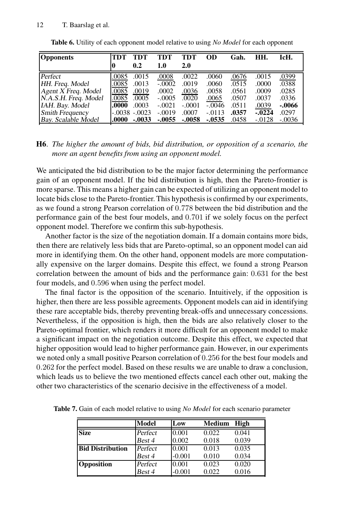| <b>Opponents</b>       | <b>TDT</b> | <b>TDT</b>     | <b>TDT</b> | TDT      | <b>OD</b> | Gah.  | HH.      | IcH.     |
|------------------------|------------|----------------|------------|----------|-----------|-------|----------|----------|
|                        | 0          | 0.2            | 1.0        | 2.0      |           |       |          |          |
| Perfect                | .0085      | .0015          | .0008      | .0022    | .0060     | .0676 | .0015    | .0399    |
| HH. Freq. Model        | .0085      | .0013          | $-.0002$   | .0019    | .0060     | .0515 | .0000    | .0388    |
| Agent X Freq. Model    | .0085      | .0019          | .0002      | .0036    | .0058     | .0561 | .0009    | .0285    |
| N.A.S.H. Freq. Model   | .0085      | .0005          | $-.0005$   | .0020    | .0065     | .0507 | .0037    | .0336    |
| IAH. Bay. Model        | .0000      | .0003          | $-.0021$   | $-.0001$ | $-.0046$  | .0511 | .0039    | $-.0066$ |
| <b>Smith Frequency</b> |            | $-.0038-.0023$ | $-.0019$   | .0007    | $-.0113$  | .0357 | $-.0224$ | .0297    |
| Bay. Scalable Model    | .0000      | $-.0033$       | $-.0055$   | -.0058   | $-.0535$  | .0458 | $-.0128$ | $-.0036$ |

<span id="page-11-0"></span>**Table 6.** Utility of each opponent model relative to using *No Model* for each opponent

### **H6**. *The higher the amount of bids, bid distribution, or opposition of a scenario, the more an agent benefits from using an opponent model.*

We anticipated the bid distribution to be the major factor determining the performance gain of an opponent model. If the bid distribution is high, then the Pareto-frontier is more sparse. This means a higher gain can be expected of utilizing an opponent model to locate bids close to the Pareto-frontier. This hypothesis is confirmed by our experiments, as we found a strong Pearson correlation of 0*.*778 between the bid distribution and the performance gain of the best four models, and 0*.*701 if we solely focus on the perfect opponent model. Therefore we confirm this sub-hypothesis.

Another factor is the size of the negotiation domain. If a domain contains more bids, then there are relatively less bids that are Pareto-optimal, so an opponent model can aid more in identifying them. On the other hand, opponent models are more computationally expensive on the larger domains. Despite this effect, we found a strong Pearson correlation between the amount of bids and the performance gain: 0*.*631 for the best four models, and 0*.*596 when using the perfect model.

The final factor is the opposition of the scenario. Intuitively, if the opposition is higher, then there are less possible agreements. Opponent models can aid in identifying these rare acceptable bids, thereby preventing break-offs and unnecessary concessions. Nevertheless, if the opposition is high, then the bids are also relatively closer to the Pareto-optimal frontier, which renders it more difficult for an opponent model to make a significant impact on the negotiation outcome. Despite this effect, we expected that higher opposition would lead to higher performance gain. However, in our experiments we noted only a small positive Pearson correlation of 0*.*256 for the best four models and 0*.*262 for the perfect model. Based on these results we are unable to draw a conclusion, which leads us to believe the two mentioned effects cancel each other out, making the other two characteristics of the scenario decisive in the effectiveness of a model.

<span id="page-11-1"></span>

|                         | Model   | Low      | Medium | High  |
|-------------------------|---------|----------|--------|-------|
| <b>Size</b>             | Perfect | 0.001    | 0.022  | 0.041 |
|                         | Best 4  | 0.002    | 0.018  | 0.039 |
| <b>Bid Distribution</b> | Perfect | 0.001    | 0.013  | 0.035 |
|                         | Best 4  | $-0.001$ | 0.010  | 0.034 |
| <b>Opposition</b>       | Perfect | 0.001    | 0.023  | 0.020 |
|                         | Best 4  | $-0.001$ | 0.022  | 0.016 |

**Table 7.** Gain of each model relative to using *No Model* for each scenario parameter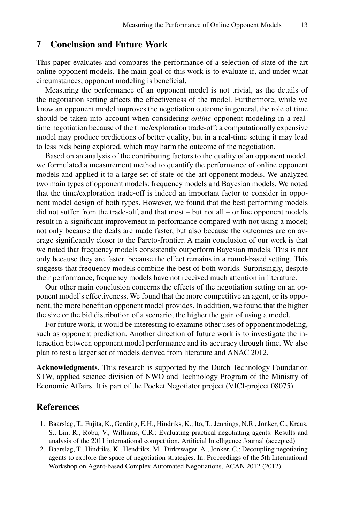### <span id="page-12-1"></span>**7 Conclusion and Future Work**

This paper evaluates and compares the performance of a selection of state-of-the-art online opponent models. The main goal of this work is to evaluate if, and under what circumstances, opponent modeling is beneficial.

Measuring the performance of an opponent model is not trivial, as the details of the negotiation setting affects the effectiveness of the model. Furthermore, while we know an opponent model improves the negotiation outcome in general, the role of time should be taken into account when considering *online* opponent modeling in a realtime negotiation because of the time/exploration trade-off: a computationally expensive model may produce predictions of better quality, but in a real-time setting it may lead to less bids being explored, which may harm the outcome of the negotiation.

Based on an analysis of the contributing factors to the quality of an opponent model, we formulated a measurement method to quantify the performance of online opponent models and applied it to a large set of state-of-the-art opponent models. We analyzed two main types of opponent models: frequency models and Bayesian models. We noted that the time/exploration trade-off is indeed an important factor to consider in opponent model design of both types. However, we found that the best performing models did not suffer from the trade-off, and that most – but not all – online opponent models result in a significant improvement in performance compared with not using a model; not only because the deals are made faster, but also because the outcomes are on average significantly closer to the Pareto-frontier. A main conclusion of our work is that we noted that frequency models consistently outperform Bayesian models. This is not only because they are faster, because the effect remains in a round-based setting. This suggests that frequency models combine the best of both worlds. Surprisingly, despite their performance, frequency models have not received much attention in literature.

Our other main conclusion concerns the effects of the negotiation setting on an opponent model's effectiveness. We found that the more competitive an agent, or its opponent, the more benefit an opponent model provides. In addition, we found that the higher the size or the bid distribution of a scenario, the higher the gain of using a model.

For future work, it would be interesting to examine other uses of opponent modeling, such as opponent prediction. Another direction of future work is to investigate the interaction between opponent model performance and its accuracy through time. We also plan to test a larger set of models derived from literature and ANAC 2012.

<span id="page-12-2"></span><span id="page-12-0"></span>**Acknowledgments.** This research is supported by the Dutch Technology Foundation STW, applied science division of NWO and Technology Program of the Ministry of Economic Affairs. It is part of the Pocket Negotiator project (VICI-project 08075).

# **References**

- 1. Baarslag, T., Fujita, K., Gerding, E.H., Hindriks, K., Ito, T., Jennings, N.R., Jonker, C., Kraus, S., Lin, R., Robu, V., Williams, C.R.: Evaluating practical negotiating agents: Results and analysis of the 2011 international competition. Artificial Intelligence Journal (accepted)
- 2. Baarslag, T., Hindriks, K., Hendrikx, M., Dirkzwager, A., Jonker, C.: Decoupling negotiating agents to explore the space of negotiation strategies. In: Proceedings of the 5th International Workshop on Agent-based Complex Automated Negotiations, ACAN 2012 (2012)